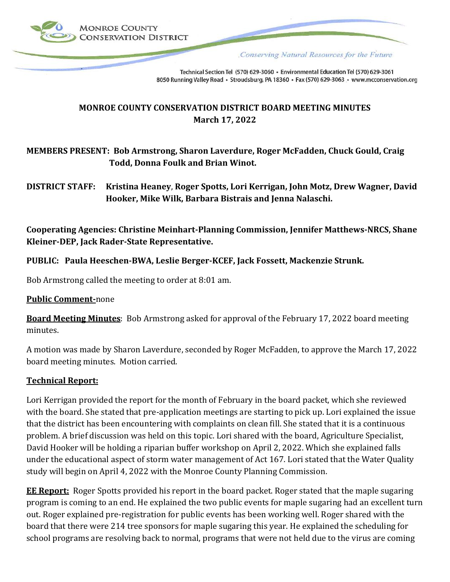

Conserving Natural Resources for the Future

Technical Section Tel (570) 629-3060 · Environmental Education Tel (570) 629-3061 8050 Running Valley Road · Stroudsburg, PA 18360 · Fax (570) 629-3063 · www.mcconservation.org

# **MONROE COUNTY CONSERVATION DISTRICT BOARD MEETING MINUTES March 17, 2022**

# **MEMBERS PRESENT: Bob Armstrong, Sharon Laverdure, Roger McFadden, Chuck Gould, Craig Todd, Donna Foulk and Brian Winot.**

# **DISTRICT STAFF: Kristina Heaney**, **Roger Spotts, Lori Kerrigan, John Motz, Drew Wagner, David Hooker, Mike Wilk, Barbara Bistrais and Jenna Nalaschi.**

**Cooperating Agencies: Christine Meinhart-Planning Commission, Jennifer Matthews-NRCS, Shane Kleiner-DEP, Jack Rader-State Representative.**

# **PUBLIC: Paula Heeschen-BWA, Leslie Berger-KCEF, Jack Fossett, Mackenzie Strunk.**

Bob Armstrong called the meeting to order at 8:01 am.

#### **Public Comment-**none

**Board Meeting Minutes**: Bob Armstrong asked for approval of the February 17, 2022 board meeting minutes.

A motion was made by Sharon Laverdure, seconded by Roger McFadden, to approve the March 17, 2022 board meeting minutes. Motion carried.

#### **Technical Report:**

Lori Kerrigan provided the report for the month of February in the board packet, which she reviewed with the board. She stated that pre-application meetings are starting to pick up. Lori explained the issue that the district has been encountering with complaints on clean fill. She stated that it is a continuous problem. A brief discussion was held on this topic. Lori shared with the board, Agriculture Specialist, David Hooker will be holding a riparian buffer workshop on April 2, 2022. Which she explained falls under the educational aspect of storm water management of Act 167. Lori stated that the Water Quality study will begin on April 4, 2022 with the Monroe County Planning Commission.

**EE Report:** Roger Spotts provided his report in the board packet. Roger stated that the maple sugaring program is coming to an end. He explained the two public events for maple sugaring had an excellent turn out. Roger explained pre-registration for public events has been working well. Roger shared with the board that there were 214 tree sponsors for maple sugaring this year. He explained the scheduling for school programs are resolving back to normal, programs that were not held due to the virus are coming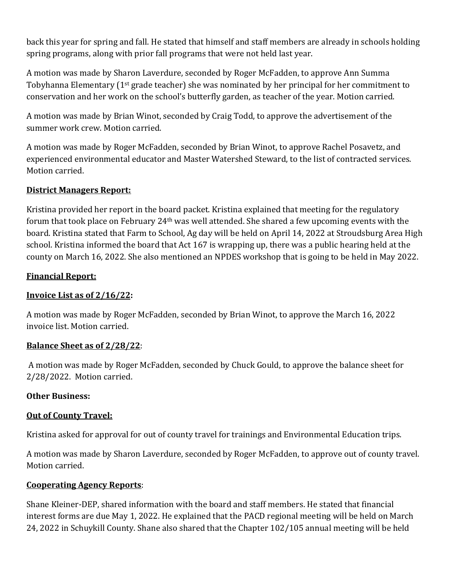back this year for spring and fall. He stated that himself and staff members are already in schools holding spring programs, along with prior fall programs that were not held last year.

A motion was made by Sharon Laverdure, seconded by Roger McFadden, to approve Ann Summa Tobyhanna Elementary (1st grade teacher) she was nominated by her principal for her commitment to conservation and her work on the school's butterfly garden, as teacher of the year. Motion carried.

A motion was made by Brian Winot, seconded by Craig Todd, to approve the advertisement of the summer work crew. Motion carried.

A motion was made by Roger McFadden, seconded by Brian Winot, to approve Rachel Posavetz, and experienced environmental educator and Master Watershed Steward, to the list of contracted services. Motion carried.

# **District Managers Report:**

Kristina provided her report in the board packet. Kristina explained that meeting for the regulatory forum that took place on February 24th was well attended. She shared a few upcoming events with the board. Kristina stated that Farm to School, Ag day will be held on April 14, 2022 at Stroudsburg Area High school. Kristina informed the board that Act 167 is wrapping up, there was a public hearing held at the county on March 16, 2022. She also mentioned an NPDES workshop that is going to be held in May 2022.

# **Financial Report:**

# **Invoice List as of 2/16/22:**

A motion was made by Roger McFadden, seconded by Brian Winot, to approve the March 16, 2022 invoice list. Motion carried.

# **Balance Sheet as of 2/28/22**:

A motion was made by Roger McFadden, seconded by Chuck Gould, to approve the balance sheet for 2/28/2022. Motion carried.

# **Other Business:**

# **Out of County Travel:**

Kristina asked for approval for out of county travel for trainings and Environmental Education trips.

A motion was made by Sharon Laverdure, seconded by Roger McFadden, to approve out of county travel. Motion carried.

# **Cooperating Agency Reports**:

Shane Kleiner-DEP, shared information with the board and staff members. He stated that financial interest forms are due May 1, 2022. He explained that the PACD regional meeting will be held on March 24, 2022 in Schuykill County. Shane also shared that the Chapter 102/105 annual meeting will be held